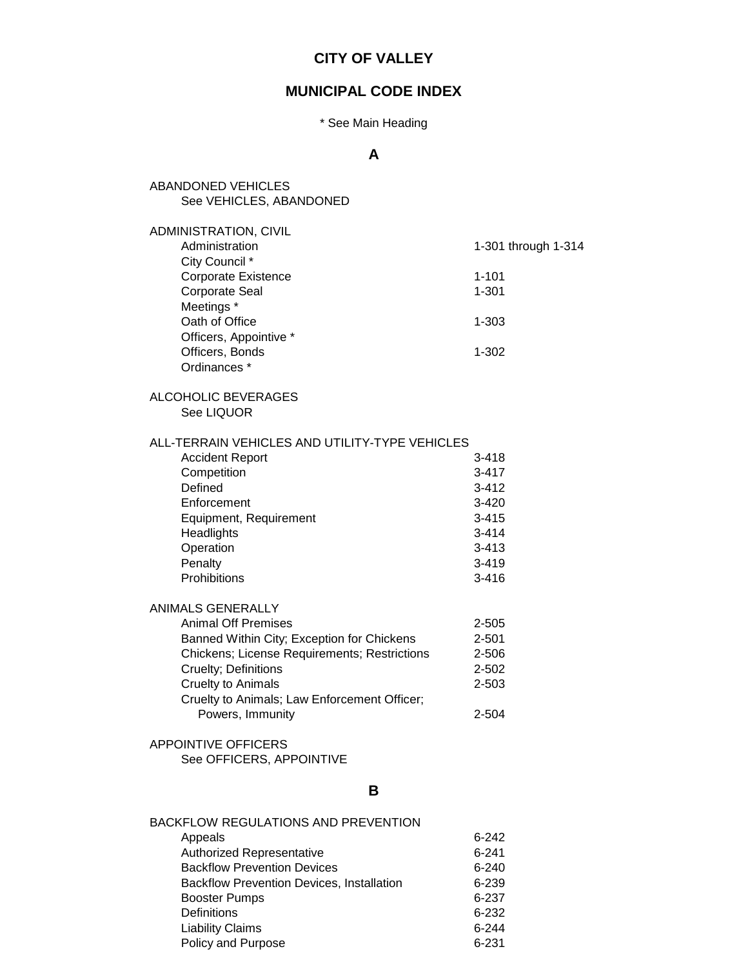# **CITY OF VALLEY**

## **MUNICIPAL CODE INDEX**

### \* See Main Heading

## **A**

| <b>ABANDONED VEHICLES</b><br>See VEHICLES, ABANDONED      |                        |
|-----------------------------------------------------------|------------------------|
| ADMINISTRATION, CIVIL<br>Administration<br>City Council * | 1-301 through 1-314    |
| Corporate Existence<br><b>Corporate Seal</b>              | $1 - 101$<br>$1 - 301$ |
| Meetings *<br>Oath of Office<br>Officers, Appointive *    | $1 - 303$              |
| Officers, Bonds<br>Ordinances *                           | $1 - 302$              |
| ALCOHOLIC BEVERAGES<br>See LIQUOR                         |                        |
| ALL-TERRAIN VEHICLES AND UTILITY-TYPE VEHICLES            |                        |
| <b>Accident Report</b>                                    | $3 - 418$              |
| Competition                                               | $3 - 417$              |
| Defined                                                   | $3 - 412$              |
| Enforcement                                               | $3 - 420$              |
| Equipment, Requirement                                    | $3 - 415$              |
| Headlights                                                | $3 - 414$              |
| Operation                                                 | $3 - 413$              |
| Penalty<br>Prohibitions                                   | $3 - 419$<br>$3 - 416$ |
| <b>ANIMALS GENERALLY</b>                                  |                        |
| <b>Animal Off Premises</b>                                | $2 - 505$              |
| Banned Within City; Exception for Chickens                | $2 - 501$              |
| <b>Chickens; License Requirements; Restrictions</b>       | 2-506                  |
| Cruelty; Definitions                                      | $2 - 502$              |
| <b>Cruelty to Animals</b>                                 | 2-503                  |
| Cruelty to Animals; Law Enforcement Officer;              |                        |
| Powers, Immunity                                          | 2-504                  |
| APPOINTIVE OFFICERS<br>See OFFICERS, APPOINTIVE           |                        |
|                                                           |                        |
| В                                                         |                        |
| <b>BACKFLOW REGULATIONS AND PREVENTION</b>                |                        |

| Appeals                                          | $6 - 242$ |
|--------------------------------------------------|-----------|
| Authorized Representative                        | $6 - 241$ |
| <b>Backflow Prevention Devices</b>               | $6 - 240$ |
| <b>Backflow Prevention Devices, Installation</b> | 6-239     |
| <b>Booster Pumps</b>                             | 6-237     |
| <b>Definitions</b>                               | $6 - 232$ |
| <b>Liability Claims</b>                          | $6-244$   |
| Policy and Purpose                               | 6-231     |
|                                                  |           |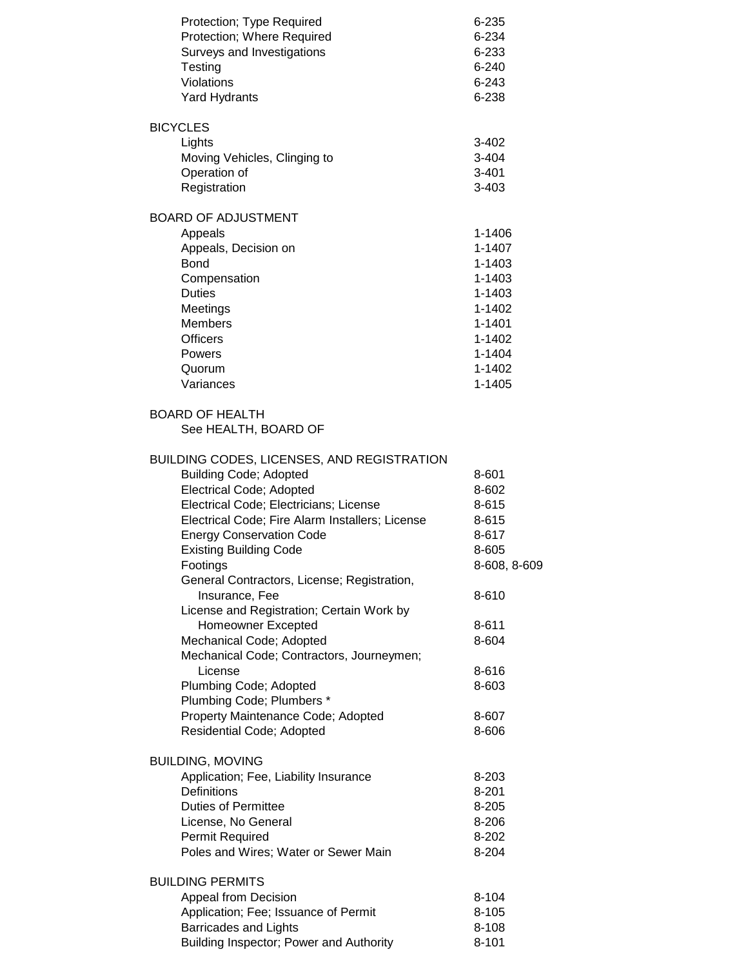| Protection; Type Required<br>Protection; Where Required<br>Surveys and Investigations<br>Testing<br>Violations<br><b>Yard Hydrants</b>                                                                                                                                                                                                                                                                                                                                                                                                                                                                                                 | 6-235<br>6-234<br>6-233<br>$6 - 240$<br>$6 - 243$<br>6-238                                                                        |
|----------------------------------------------------------------------------------------------------------------------------------------------------------------------------------------------------------------------------------------------------------------------------------------------------------------------------------------------------------------------------------------------------------------------------------------------------------------------------------------------------------------------------------------------------------------------------------------------------------------------------------------|-----------------------------------------------------------------------------------------------------------------------------------|
| <b>BICYCLES</b><br>Lights<br>Moving Vehicles, Clinging to<br>Operation of<br>Registration                                                                                                                                                                                                                                                                                                                                                                                                                                                                                                                                              | 3-402<br>3-404<br>$3 - 401$<br>3-403                                                                                              |
| <b>BOARD OF ADJUSTMENT</b><br>Appeals<br>Appeals, Decision on<br><b>Bond</b><br>Compensation<br><b>Duties</b><br>Meetings<br><b>Members</b><br><b>Officers</b><br>Powers<br>Quorum<br>Variances                                                                                                                                                                                                                                                                                                                                                                                                                                        | 1-1406<br>1-1407<br>1-1403<br>1-1403<br>1-1403<br>1-1402<br>1-1401<br>1-1402<br>1-1404<br>1-1402<br>1-1405                        |
| <b>BOARD OF HEALTH</b><br>See HEALTH, BOARD OF                                                                                                                                                                                                                                                                                                                                                                                                                                                                                                                                                                                         |                                                                                                                                   |
| BUILDING CODES, LICENSES, AND REGISTRATION<br><b>Building Code; Adopted</b><br>Electrical Code; Adopted<br>Electrical Code; Electricians; License<br>Electrical Code; Fire Alarm Installers; License<br><b>Energy Conservation Code</b><br><b>Existing Building Code</b><br>Footings<br>General Contractors, License; Registration,<br>Insurance, Fee<br>License and Registration; Certain Work by<br>Homeowner Excepted<br>Mechanical Code; Adopted<br>Mechanical Code; Contractors, Journeymen;<br>License<br>Plumbing Code; Adopted<br>Plumbing Code; Plumbers *<br>Property Maintenance Code; Adopted<br>Residential Code; Adopted | 8-601<br>8-602<br>8-615<br>8-615<br>8-617<br>8-605<br>8-608, 8-609<br>8-610<br>8-611<br>8-604<br>8-616<br>8-603<br>8-607<br>8-606 |
| <b>BUILDING, MOVING</b><br>Application; Fee, Liability Insurance<br>Definitions<br><b>Duties of Permittee</b><br>License, No General<br>Permit Required<br>Poles and Wires; Water or Sewer Main                                                                                                                                                                                                                                                                                                                                                                                                                                        | 8-203<br>$8 - 201$<br>8-205<br>8-206<br>8-202<br>8-204                                                                            |
| <b>BUILDING PERMITS</b><br>Appeal from Decision<br>Application; Fee; Issuance of Permit<br><b>Barricades and Lights</b><br>Building Inspector; Power and Authority                                                                                                                                                                                                                                                                                                                                                                                                                                                                     | 8-104<br>$8 - 105$<br>8-108<br>$8 - 101$                                                                                          |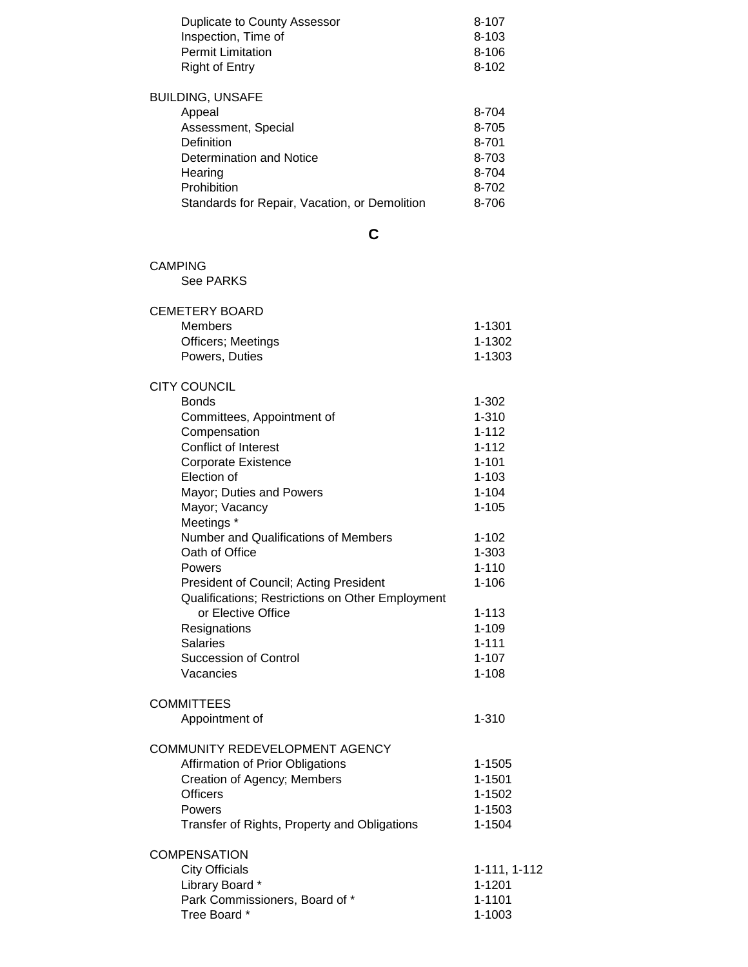| Duplicate to County Assessor<br>Inspection, Time of<br><b>Permit Limitation</b><br><b>Right of Entry</b>                                                                      | 8-107<br>8-103<br>$8 - 106$<br>$8 - 102$                    |
|-------------------------------------------------------------------------------------------------------------------------------------------------------------------------------|-------------------------------------------------------------|
| <b>BUILDING, UNSAFE</b><br>Appeal<br>Assessment, Special<br>Definition<br>Determination and Notice<br>Hearing<br>Prohibition<br>Standards for Repair, Vacation, or Demolition | 8-704<br>8-705<br>8-701<br>8-703<br>8-704<br>8-702<br>8-706 |
| C                                                                                                                                                                             |                                                             |
| <b>CAMPING</b><br><b>See PARKS</b>                                                                                                                                            |                                                             |
| <b>CEMETERY BOARD</b>                                                                                                                                                         |                                                             |
| <b>Members</b>                                                                                                                                                                | 1-1301                                                      |
| Officers; Meetings                                                                                                                                                            | 1-1302                                                      |
| Powers, Duties                                                                                                                                                                | 1-1303                                                      |
| <b>CITY COUNCIL</b>                                                                                                                                                           |                                                             |
| <b>Bonds</b>                                                                                                                                                                  | $1 - 302$                                                   |
| Committees, Appointment of                                                                                                                                                    | $1 - 310$                                                   |
| Compensation                                                                                                                                                                  | $1 - 112$                                                   |
| <b>Conflict of Interest</b>                                                                                                                                                   | $1 - 112$                                                   |
| Corporate Existence<br>Election of                                                                                                                                            | $1 - 101$                                                   |
|                                                                                                                                                                               | $1 - 103$<br>$1 - 104$                                      |
| Mayor; Duties and Powers<br>Mayor; Vacancy                                                                                                                                    | $1 - 105$                                                   |
| Meetings *                                                                                                                                                                    |                                                             |
| Number and Qualifications of Members                                                                                                                                          | $1 - 102$                                                   |
| Oath of Office                                                                                                                                                                | $1 - 303$                                                   |
| Powers                                                                                                                                                                        | $1 - 110$                                                   |
| President of Council; Acting President                                                                                                                                        | $1 - 106$                                                   |
| Qualifications; Restrictions on Other Employment                                                                                                                              |                                                             |
| or Elective Office                                                                                                                                                            | $1 - 113$                                                   |
| Resignations                                                                                                                                                                  | $1 - 109$                                                   |
| <b>Salaries</b>                                                                                                                                                               | $1 - 111$                                                   |
| <b>Succession of Control</b>                                                                                                                                                  | $1 - 107$                                                   |
| Vacancies                                                                                                                                                                     | $1 - 108$                                                   |
| <b>COMMITTEES</b>                                                                                                                                                             |                                                             |
| Appointment of                                                                                                                                                                | $1 - 310$                                                   |
|                                                                                                                                                                               |                                                             |
| COMMUNITY REDEVELOPMENT AGENCY                                                                                                                                                |                                                             |
| Affirmation of Prior Obligations                                                                                                                                              | 1-1505                                                      |
| Creation of Agency; Members                                                                                                                                                   | 1-1501                                                      |
| <b>Officers</b>                                                                                                                                                               | 1-1502                                                      |
| Powers                                                                                                                                                                        | 1-1503                                                      |
| Transfer of Rights, Property and Obligations                                                                                                                                  | 1-1504                                                      |
| <b>COMPENSATION</b>                                                                                                                                                           |                                                             |
| <b>City Officials</b>                                                                                                                                                         | 1-111, 1-112                                                |
| Library Board *                                                                                                                                                               | $1 - 1201$                                                  |
| Park Commissioners, Board of *                                                                                                                                                | 1-1101                                                      |
| Tree Board *                                                                                                                                                                  | 1-1003                                                      |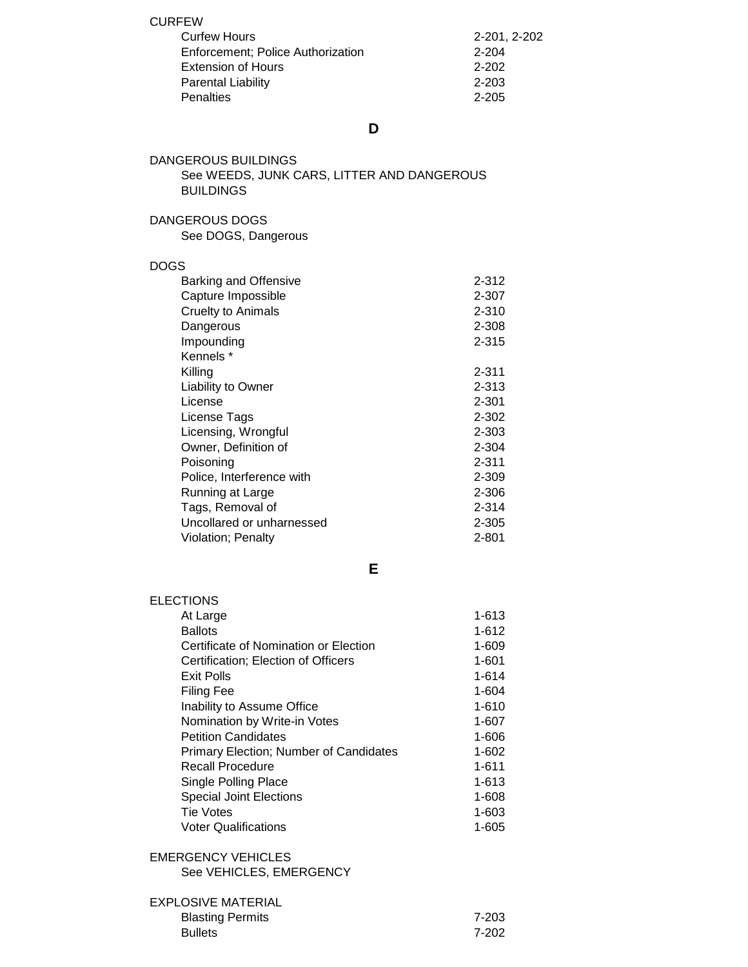CURFEW

| <b>Curfew Hours</b>                       | 2-201, 2-202 |
|-------------------------------------------|--------------|
| <b>Enforcement</b> ; Police Authorization | 2-204        |
| <b>Extension of Hours</b>                 | $2 - 202$    |
| Parental Liability                        | $2 - 203$    |
| <b>Penalties</b>                          | $2 - 205$    |

**D**

| DANGEROUS BUILDINGS                        |  |
|--------------------------------------------|--|
| See WEEDS, JUNK CARS, LITTER AND DANGEROUS |  |
| <b>BUILDINGS</b>                           |  |

### DANGEROUS DOGS

See DOGS, Dangerous

#### DOGS

| <b>Barking and Offensive</b> | $2 - 312$ |
|------------------------------|-----------|
| Capture Impossible           | 2-307     |
| <b>Cruelty to Animals</b>    | $2 - 310$ |
| Dangerous                    | 2-308     |
| Impounding                   | 2-315     |
| Kennels *                    |           |
| Killing                      | 2-311     |
| <b>Liability to Owner</b>    | 2-313     |
| License                      | 2-301     |
| License Tags                 | 2-302     |
| Licensing, Wrongful          | 2-303     |
| Owner, Definition of         | 2-304     |
| Poisoning                    | 2-311     |
| Police, Interference with    | 2-309     |
| Running at Large             | 2-306     |
| Tags, Removal of             | 2-314     |
| Uncollared or unharnessed    | 2-305     |
| Violation; Penalty           | 2-801     |

**E**

| <b>ELECTIONS</b>                              |       |
|-----------------------------------------------|-------|
| At Large                                      | 1-613 |
| <b>Ballots</b>                                | 1-612 |
| Certificate of Nomination or Election         | 1-609 |
| Certification; Election of Officers           | 1-601 |
| Exit Polls                                    | 1-614 |
| Filing Fee                                    | 1-604 |
| Inability to Assume Office                    | 1-610 |
| Nomination by Write-in Votes                  | 1-607 |
| <b>Petition Candidates</b>                    | 1-606 |
| <b>Primary Election: Number of Candidates</b> | 1-602 |
| Recall Procedure                              | 1-611 |
| Single Polling Place                          | 1-613 |
| <b>Special Joint Elections</b>                | 1-608 |
| Tie Votes                                     | 1-603 |
| <b>Voter Qualifications</b>                   | 1-605 |
|                                               |       |

## EMERGENCY VEHICLES

See VEHICLES, EMERGENCY

| <b>EXPLOSIVE MATERIAL</b> |       |
|---------------------------|-------|
| <b>Blasting Permits</b>   | 7-203 |
| <b>Bullets</b>            | 7-202 |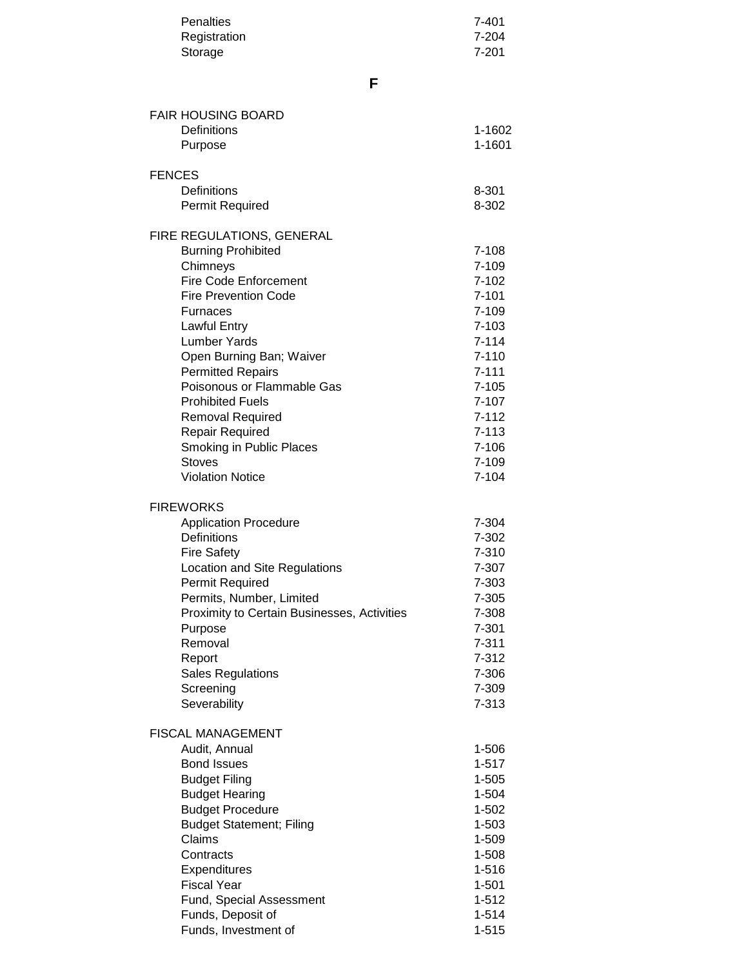| <b>Penalties</b><br>Registration<br>Storage                                                                                                                                                                                                                                                                                                                                                                                                      | 7-401<br>7-204<br>$7 - 201$                                                                                                                                                              |
|--------------------------------------------------------------------------------------------------------------------------------------------------------------------------------------------------------------------------------------------------------------------------------------------------------------------------------------------------------------------------------------------------------------------------------------------------|------------------------------------------------------------------------------------------------------------------------------------------------------------------------------------------|
| F                                                                                                                                                                                                                                                                                                                                                                                                                                                |                                                                                                                                                                                          |
| <b>FAIR HOUSING BOARD</b><br>Definitions<br>Purpose                                                                                                                                                                                                                                                                                                                                                                                              | 1-1602<br>1-1601                                                                                                                                                                         |
| <b>FENCES</b><br>Definitions<br><b>Permit Required</b>                                                                                                                                                                                                                                                                                                                                                                                           | 8-301<br>8-302                                                                                                                                                                           |
| FIRE REGULATIONS, GENERAL<br><b>Burning Prohibited</b><br>Chimneys<br><b>Fire Code Enforcement</b><br><b>Fire Prevention Code</b><br><b>Furnaces</b><br><b>Lawful Entry</b><br><b>Lumber Yards</b><br>Open Burning Ban; Waiver<br><b>Permitted Repairs</b><br>Poisonous or Flammable Gas<br><b>Prohibited Fuels</b><br><b>Removal Required</b><br><b>Repair Required</b><br>Smoking in Public Places<br><b>Stoves</b><br><b>Violation Notice</b> | 7-108<br>$7 - 109$<br>$7 - 102$<br>$7 - 101$<br>7-109<br>$7 - 103$<br>$7 - 114$<br>$7 - 110$<br>$7 - 111$<br>$7 - 105$<br>7-107<br>7-112<br>$7 - 113$<br>$7 - 106$<br>7-109<br>$7 - 104$ |
| <b>FIREWORKS</b><br><b>Application Procedure</b><br>Definitions<br><b>Fire Safety</b><br>Location and Site Regulations<br>Permit Required<br>Permits, Number, Limited<br>Proximity to Certain Businesses, Activities<br>Purpose<br>Removal<br>Report<br><b>Sales Regulations</b><br>Screening<br>Severability                                                                                                                                    | 7-304<br>7-302<br>7-310<br>7-307<br>7-303<br>7-305<br>7-308<br>7-301<br>$7 - 311$<br>7-312<br>7-306<br>7-309<br>7-313                                                                    |
| <b>FISCAL MANAGEMENT</b><br>Audit, Annual<br><b>Bond Issues</b><br><b>Budget Filing</b><br><b>Budget Hearing</b><br><b>Budget Procedure</b><br><b>Budget Statement; Filing</b><br>Claims<br>Contracts<br>Expenditures<br><b>Fiscal Year</b><br>Fund, Special Assessment<br>Funds, Deposit of<br>Funds, Investment of                                                                                                                             | 1-506<br>$1 - 517$<br>1-505<br>1-504<br>1-502<br>1-503<br>1-509<br>1-508<br>1-516<br>$1 - 501$<br>$1 - 512$<br>$1 - 514$<br>$1 - 515$                                                    |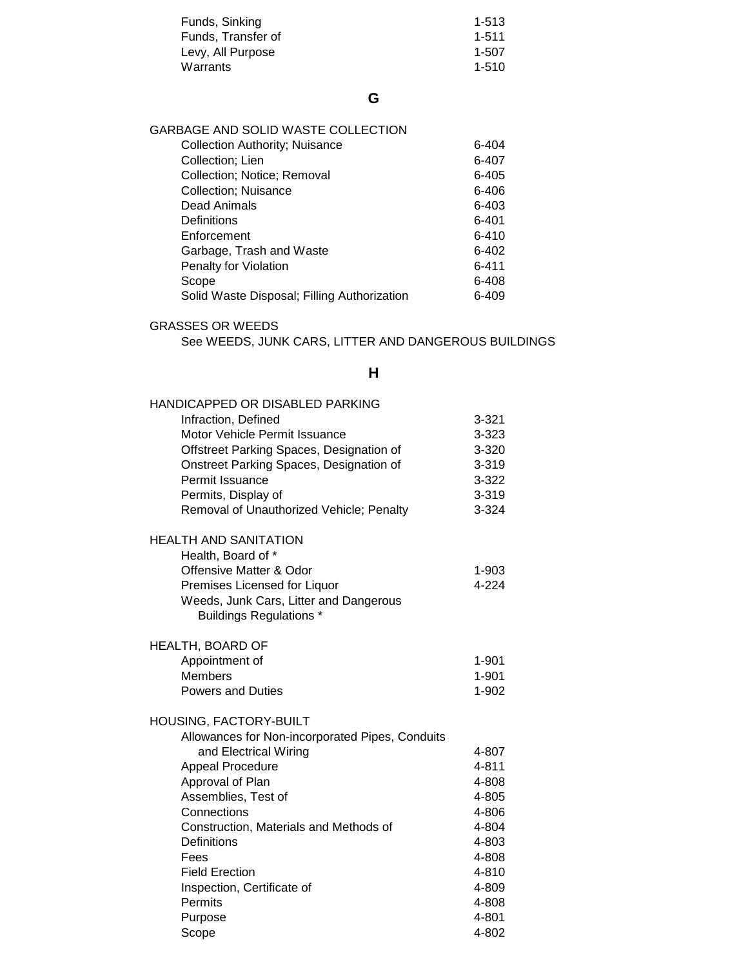| $1 - 513$ |
|-----------|
| 1-511     |
| 1-507     |
| 1-510     |
|           |

| GARBAGE AND SOLID WASTE COLLECTION          |           |
|---------------------------------------------|-----------|
| <b>Collection Authority; Nuisance</b>       | $6 - 404$ |
| Collection; Lien                            | 6-407     |
| Collection; Notice; Removal                 | $6 - 405$ |
| <b>Collection</b> ; Nuisance                | 6-406     |
| Dead Animals                                | 6-403     |
| Definitions                                 | $6 - 401$ |
| Enforcement                                 | $6 - 410$ |
| Garbage, Trash and Waste                    | $6 - 402$ |
| Penalty for Violation                       | $6 - 411$ |
| Scope                                       | 6-408     |
| Solid Waste Disposal; Filling Authorization | 6-409     |
|                                             |           |

### GRASSES OR WEEDS

See WEEDS, JUNK CARS, LITTER AND DANGEROUS BUILDINGS

### **H**

| <b>HANDICAPPED OR DISABLED PARKING</b>                                   |           |
|--------------------------------------------------------------------------|-----------|
| Infraction, Defined                                                      | $3 - 321$ |
| Motor Vehicle Permit Issuance                                            | 3-323     |
| Offstreet Parking Spaces, Designation of                                 | 3-320     |
| Onstreet Parking Spaces, Designation of                                  | $3 - 319$ |
| Permit Issuance                                                          | 3-322     |
| Permits, Display of                                                      | 3-319     |
| Removal of Unauthorized Vehicle; Penalty                                 | 3-324     |
| <b>HEALTH AND SANITATION</b>                                             |           |
| Health, Board of *                                                       |           |
| <b>Offensive Matter &amp; Odor</b>                                       | 1-903     |
| Premises Licensed for Liquor                                             | 4-224     |
| Weeds, Junk Cars, Litter and Dangerous<br><b>Buildings Regulations *</b> |           |
| HEALTH, BOARD OF                                                         |           |
| Appointment of                                                           | $1 - 901$ |
| <b>Members</b>                                                           | $1 - 901$ |
| <b>Powers and Duties</b>                                                 | 1-902     |
| HOUSING, FACTORY-BUILT                                                   |           |
| Allowances for Non-incorporated Pipes, Conduits                          |           |
| and Electrical Wiring                                                    | 4-807     |
| Appeal Procedure                                                         | 4-811     |
| Approval of Plan                                                         | 4-808     |
| Assemblies, Test of                                                      | 4-805     |
| Connections                                                              | 4-806     |
| Construction, Materials and Methods of                                   | 4-804     |
| Definitions                                                              | 4-803     |
| Fees                                                                     | 4-808     |
| <b>Field Erection</b>                                                    | 4-810     |
| Inspection, Certificate of                                               | 4-809     |
| Permits                                                                  | 4-808     |
| Purpose                                                                  | 4-801     |
| Scope                                                                    | 4-802     |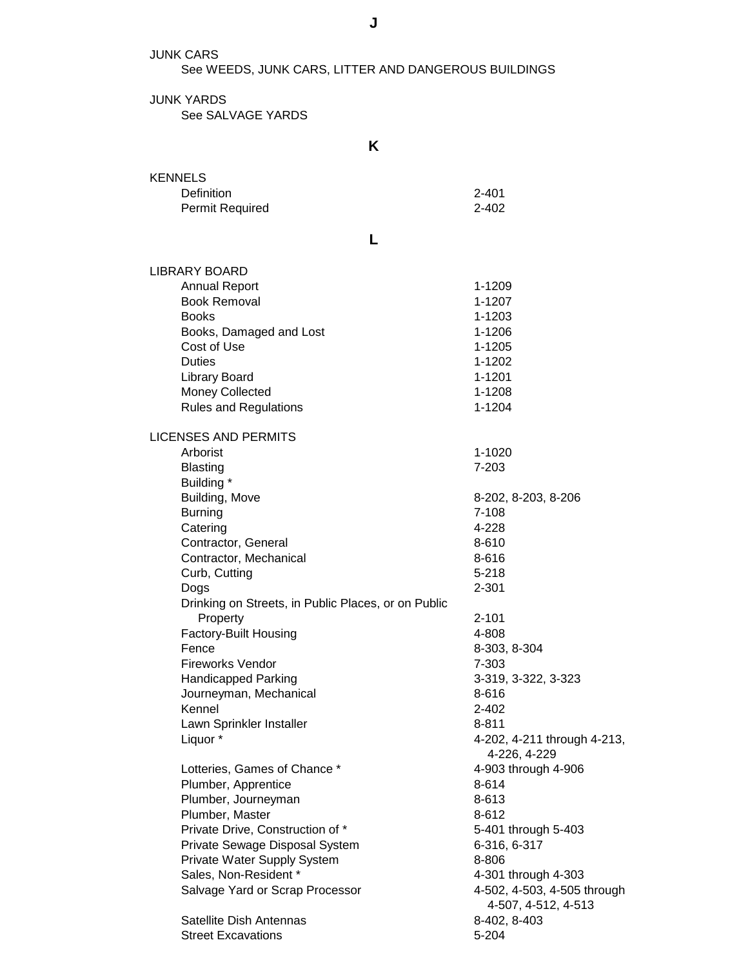JUNK CARS

See WEEDS, JUNK CARS, LITTER AND DANGEROUS BUILDINGS

**J**

JUNK YARDS See SALVAGE YARDS

**K**

| <b>KENNELS</b>                                      |                                                    |
|-----------------------------------------------------|----------------------------------------------------|
| Definition                                          | $2 - 401$                                          |
| Permit Required                                     | $2 - 402$                                          |
|                                                     |                                                    |
| L                                                   |                                                    |
| <b>LIBRARY BOARD</b>                                |                                                    |
| <b>Annual Report</b>                                | 1-1209                                             |
| <b>Book Removal</b>                                 | 1-1207                                             |
| <b>Books</b>                                        | 1-1203                                             |
| Books, Damaged and Lost                             | 1-1206                                             |
| Cost of Use                                         | 1-1205                                             |
| <b>Duties</b>                                       | 1-1202                                             |
| <b>Library Board</b>                                | 1-1201                                             |
| <b>Money Collected</b>                              | 1-1208                                             |
| <b>Rules and Regulations</b>                        | 1-1204                                             |
| <b>LICENSES AND PERMITS</b>                         |                                                    |
| Arborist                                            | 1-1020                                             |
| <b>Blasting</b>                                     | $7 - 203$                                          |
| Building *                                          |                                                    |
| Building, Move                                      | 8-202, 8-203, 8-206                                |
| <b>Burning</b>                                      | $7 - 108$                                          |
| Catering                                            | 4-228                                              |
| Contractor, General                                 | 8-610                                              |
| Contractor, Mechanical                              | 8-616                                              |
| Curb, Cutting                                       | $5 - 218$                                          |
| Dogs                                                | 2-301                                              |
| Drinking on Streets, in Public Places, or on Public |                                                    |
| Property                                            | $2 - 101$                                          |
| Factory-Built Housing                               | 4-808                                              |
| Fence                                               | 8-303, 8-304                                       |
| <b>Fireworks Vendor</b>                             | 7-303                                              |
| <b>Handicapped Parking</b>                          | 3-319, 3-322, 3-323                                |
| Journeyman, Mechanical                              | 8-616                                              |
| Kennel                                              | 2-402                                              |
| Lawn Sprinkler Installer                            | 8-811                                              |
| Liquor *                                            | 4-202, 4-211 through 4-213,<br>4-226, 4-229        |
| Lotteries, Games of Chance *                        | 4-903 through 4-906                                |
| Plumber, Apprentice                                 | 8-614                                              |
| Plumber, Journeyman                                 | 8-613                                              |
| Plumber, Master                                     | 8-612                                              |
| Private Drive, Construction of *                    | 5-401 through 5-403                                |
| Private Sewage Disposal System                      | 6-316, 6-317                                       |
| Private Water Supply System                         | 8-806                                              |
| Sales, Non-Resident *                               | 4-301 through 4-303                                |
| Salvage Yard or Scrap Processor                     | 4-502, 4-503, 4-505 through<br>4-507, 4-512, 4-513 |
| Satellite Dish Antennas                             | 8-402, 8-403                                       |

Street Excavations 5-204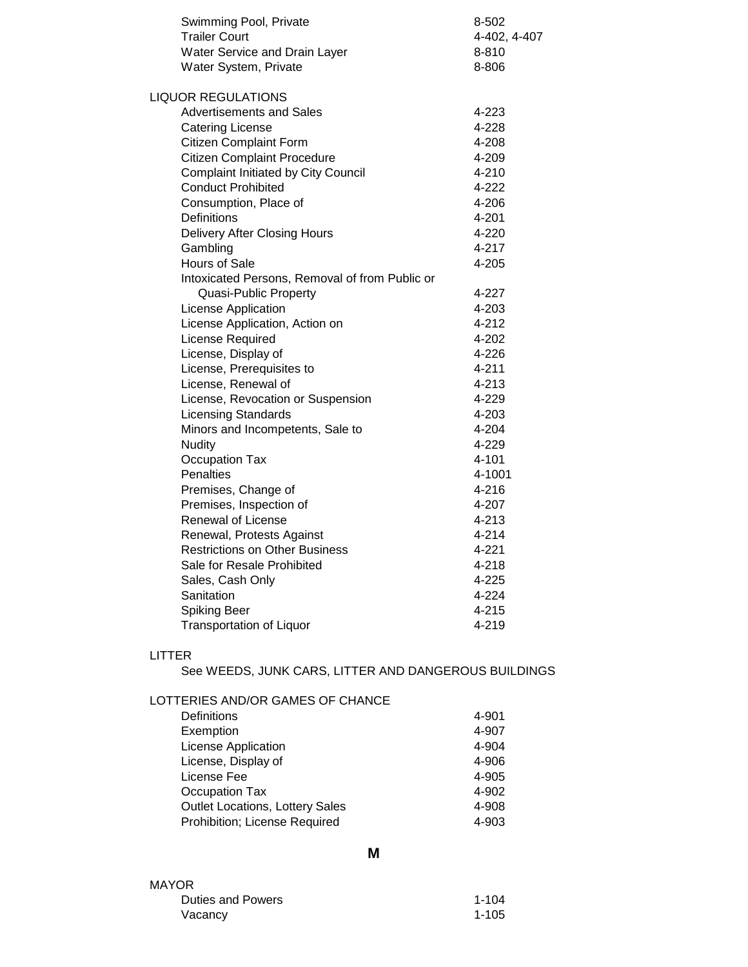| Swimming Pool, Private                         | 8-502        |
|------------------------------------------------|--------------|
| <b>Trailer Court</b>                           | 4-402, 4-407 |
| Water Service and Drain Layer                  | 8-810        |
| Water System, Private                          | 8-806        |
| <b>LIQUOR REGULATIONS</b>                      |              |
| <b>Advertisements and Sales</b>                | 4-223        |
| <b>Catering License</b>                        | 4-228        |
| <b>Citizen Complaint Form</b>                  | 4-208        |
| <b>Citizen Complaint Procedure</b>             | 4-209        |
| <b>Complaint Initiated by City Council</b>     | 4-210        |
| <b>Conduct Prohibited</b>                      | 4-222        |
| Consumption, Place of                          | 4-206        |
| Definitions                                    | 4-201        |
| <b>Delivery After Closing Hours</b>            | 4-220        |
| Gambling                                       | 4-217        |
| Hours of Sale                                  | 4-205        |
| Intoxicated Persons, Removal of from Public or |              |
| Quasi-Public Property                          | 4-227        |
| License Application                            | 4-203        |
| License Application, Action on                 | 4-212        |
| License Required                               | 4-202        |
| License, Display of                            | 4-226        |
| License, Prerequisites to                      | 4-211        |
| License, Renewal of                            | 4-213        |
| License, Revocation or Suspension              | 4-229        |
| <b>Licensing Standards</b>                     | 4-203        |
| Minors and Incompetents, Sale to               | 4-204        |
| <b>Nudity</b>                                  | 4-229        |
| <b>Occupation Tax</b>                          | 4-101        |
| Penalties                                      | 4-1001       |
| Premises, Change of                            | 4-216        |
| Premises, Inspection of                        | 4-207        |
| <b>Renewal of License</b>                      | 4-213        |
| Renewal, Protests Against                      | 4-214        |
| <b>Restrictions on Other Business</b>          | 4-221        |
| Sale for Resale Prohibited                     | 4-218        |
| Sales, Cash Only                               | 4-225        |
| Sanitation                                     | 4-224        |
| <b>Spiking Beer</b>                            | 4-215        |
| <b>Transportation of Liquor</b>                | 4-219        |

#### LITTER

See WEEDS, JUNK CARS, LITTER AND DANGEROUS BUILDINGS

LOTTERIES AND/OR GAMES OF CHANCE

| Definitions                            | 4-901 |
|----------------------------------------|-------|
| Exemption                              | 4-907 |
| License Application                    | 4-904 |
| License, Display of                    | 4-906 |
| License Fee                            | 4-905 |
| Occupation Tax                         | 4-902 |
| <b>Outlet Locations, Lottery Sales</b> | 4-908 |
| Prohibition; License Required          | 4-903 |
|                                        |       |

#### MAYOR Duties and Powers 1-104 Vacancy 1-105

**M**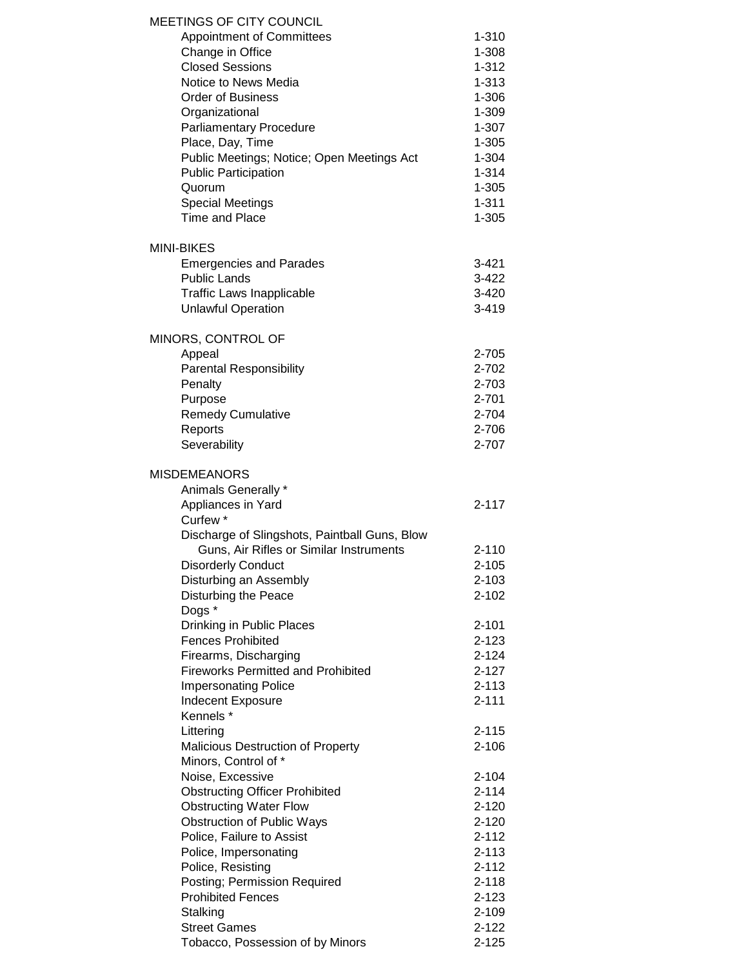| MEETINGS OF CITY COUNCIL                                                  |                    |
|---------------------------------------------------------------------------|--------------------|
| <b>Appointment of Committees</b>                                          | 1-310              |
| Change in Office                                                          | 1-308              |
| <b>Closed Sessions</b>                                                    | $1 - 312$          |
| Notice to News Media                                                      | $1 - 313$          |
| <b>Order of Business</b>                                                  | 1-306              |
| Organizational                                                            | 1-309              |
| <b>Parliamentary Procedure</b>                                            | $1 - 307$          |
| Place, Day, Time                                                          | $1 - 305$          |
| Public Meetings; Notice; Open Meetings Act<br><b>Public Participation</b> | 1-304<br>$1 - 314$ |
| Quorum                                                                    | $1 - 305$          |
| <b>Special Meetings</b>                                                   | $1 - 311$          |
| <b>Time and Place</b>                                                     | $1 - 305$          |
| <b>MINI-BIKES</b>                                                         |                    |
| <b>Emergencies and Parades</b>                                            | $3 - 421$          |
| <b>Public Lands</b>                                                       | $3 - 422$          |
| <b>Traffic Laws Inapplicable</b>                                          | $3 - 420$          |
| <b>Unlawful Operation</b>                                                 | $3 - 419$          |
| MINORS, CONTROL OF                                                        |                    |
| Appeal                                                                    | 2-705              |
| <b>Parental Responsibility</b>                                            | 2-702              |
| Penalty                                                                   | 2-703              |
| Purpose                                                                   | 2-701              |
| <b>Remedy Cumulative</b>                                                  | 2-704              |
| Reports                                                                   | 2-706              |
| Severability                                                              | 2-707              |
| <b>MISDEMEANORS</b><br>Animals Generally *                                |                    |
|                                                                           | $2 - 117$          |
| Appliances in Yard<br>Curfew <sup>*</sup>                                 |                    |
| Discharge of Slingshots, Paintball Guns, Blow                             |                    |
| Guns, Air Rifles or Similar Instruments                                   | $2 - 110$          |
| <b>Disorderly Conduct</b>                                                 | $2 - 105$          |
| Disturbing an Assembly                                                    | $2 - 103$          |
| Disturbing the Peace                                                      | $2 - 102$          |
| Dogs *                                                                    |                    |
| Drinking in Public Places                                                 | $2 - 101$          |
| <b>Fences Prohibited</b>                                                  | $2 - 123$          |
| Firearms, Discharging                                                     | $2 - 124$          |
| <b>Fireworks Permitted and Prohibited</b>                                 | $2 - 127$          |
| <b>Impersonating Police</b>                                               | $2 - 113$          |
| <b>Indecent Exposure</b>                                                  | $2 - 111$          |
| Kennels *                                                                 |                    |
| Littering                                                                 | 2-115              |
| <b>Malicious Destruction of Property</b>                                  | $2 - 106$          |
| Minors, Control of *                                                      |                    |
| Noise, Excessive                                                          | $2 - 104$          |
| <b>Obstructing Officer Prohibited</b>                                     | $2 - 114$          |
| <b>Obstructing Water Flow</b>                                             | $2 - 120$          |
| <b>Obstruction of Public Ways</b>                                         | $2 - 120$          |
| Police, Failure to Assist                                                 | $2 - 112$          |
| Police, Impersonating                                                     | $2 - 113$          |
| Police, Resisting                                                         | $2 - 112$          |
| Posting; Permission Required                                              | $2 - 118$          |
| <b>Prohibited Fences</b>                                                  | $2 - 123$          |
| Stalking                                                                  | $2 - 109$          |
| <b>Street Games</b>                                                       | $2 - 122$          |
| Tobacco, Possession of by Minors                                          | $2 - 125$          |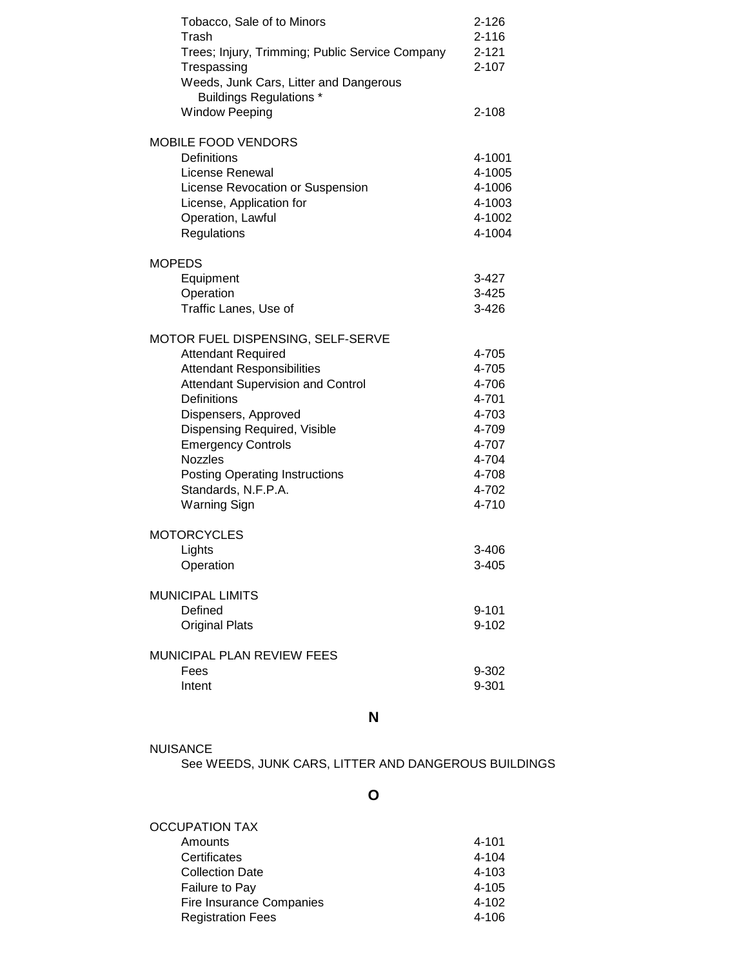| Tobacco, Sale of to Minors<br>Trash<br>Trees; Injury, Trimming; Public Service Company<br>Trespassing<br>Weeds, Junk Cars, Litter and Dangerous<br><b>Buildings Regulations *</b><br><b>Window Peeping</b> | $2 - 126$<br>$2 - 116$<br>$2 - 121$<br>$2 - 107$<br>$2 - 108$ |
|------------------------------------------------------------------------------------------------------------------------------------------------------------------------------------------------------------|---------------------------------------------------------------|
|                                                                                                                                                                                                            |                                                               |
| <b>MOBILE FOOD VENDORS</b><br>Definitions<br>License Renewal<br>License Revocation or Suspension<br>License, Application for<br>Operation, Lawful<br>Regulations                                           | 4-1001<br>4-1005<br>4-1006<br>4-1003<br>4-1002<br>4-1004      |
| <b>MOPEDS</b>                                                                                                                                                                                              |                                                               |
| Equipment<br>Operation<br>Traffic Lanes, Use of                                                                                                                                                            | 3-427<br>$3 - 425$<br>3-426                                   |
| MOTOR FUEL DISPENSING, SELF-SERVE                                                                                                                                                                          |                                                               |
| <b>Attendant Required</b>                                                                                                                                                                                  | 4-705                                                         |
| <b>Attendant Responsibilities</b>                                                                                                                                                                          | 4-705                                                         |
| <b>Attendant Supervision and Control</b>                                                                                                                                                                   | 4-706                                                         |
| Definitions                                                                                                                                                                                                | 4-701                                                         |
| Dispensers, Approved                                                                                                                                                                                       | 4-703                                                         |
| Dispensing Required, Visible                                                                                                                                                                               | 4-709                                                         |
| <b>Emergency Controls</b>                                                                                                                                                                                  | 4-707                                                         |
| <b>Nozzles</b>                                                                                                                                                                                             | 4-704                                                         |
| <b>Posting Operating Instructions</b>                                                                                                                                                                      | 4-708                                                         |
| Standards, N.F.P.A.                                                                                                                                                                                        | 4-702                                                         |
| <b>Warning Sign</b>                                                                                                                                                                                        | 4-710                                                         |
| <b>MOTORCYCLES</b>                                                                                                                                                                                         |                                                               |
| Lights                                                                                                                                                                                                     | 3-406                                                         |
| Operation                                                                                                                                                                                                  | $3 - 405$                                                     |
| <b>MUNICIPAL LIMITS</b>                                                                                                                                                                                    |                                                               |
| Defined                                                                                                                                                                                                    | $9 - 101$                                                     |
| <b>Original Plats</b>                                                                                                                                                                                      | $9 - 102$                                                     |
| MUNICIPAL PLAN REVIEW FEES                                                                                                                                                                                 |                                                               |
| Fees                                                                                                                                                                                                       | 9-302                                                         |
| Intent                                                                                                                                                                                                     | 9-301                                                         |
|                                                                                                                                                                                                            |                                                               |

**N**

| NUISANCE                                             |
|------------------------------------------------------|
| See WEEDS, JUNK CARS, LITTER AND DANGEROUS BUILDINGS |

**O**

| OCCUPATION TAX                  |       |
|---------------------------------|-------|
| Amounts                         | 4-101 |
| Certificates                    | 4-104 |
| <b>Collection Date</b>          | 4-103 |
| Failure to Pay                  | 4-105 |
| <b>Fire Insurance Companies</b> | 4-102 |
| <b>Registration Fees</b>        | 4-106 |
|                                 |       |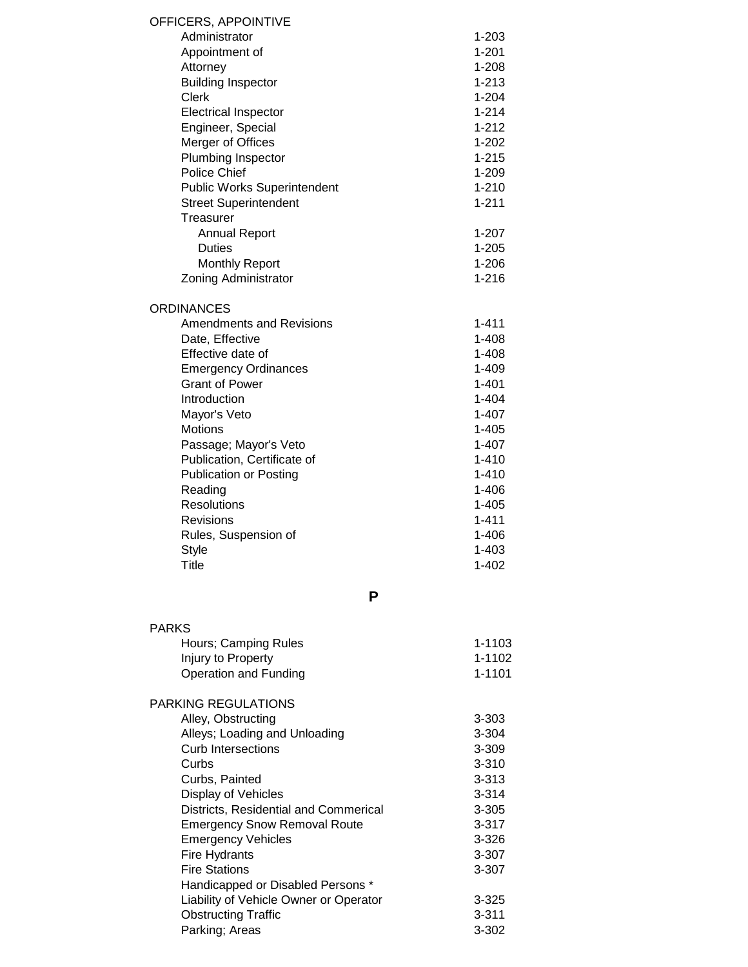| OFFICERS, APPOINTIVE                   |            |
|----------------------------------------|------------|
| Administrator                          | $1 - 203$  |
| Appointment of                         | $1 - 201$  |
| Attorney                               | 1-208      |
| <b>Building Inspector</b>              | $1 - 213$  |
| <b>Clerk</b>                           | $1 - 204$  |
| <b>Electrical Inspector</b>            | $1 - 214$  |
| Engineer, Special                      | $1 - 212$  |
| Merger of Offices                      | $1 - 202$  |
| Plumbing Inspector                     | $1 - 215$  |
| <b>Police Chief</b>                    | $1 - 209$  |
| <b>Public Works Superintendent</b>     | 1-210      |
| <b>Street Superintendent</b>           | $1 - 211$  |
| Treasurer                              |            |
| <b>Annual Report</b>                   | $1 - 207$  |
| <b>Duties</b>                          | $1 - 205$  |
| <b>Monthly Report</b>                  | $1 - 206$  |
| Zoning Administrator                   | $1 - 216$  |
| <b>ORDINANCES</b>                      |            |
| <b>Amendments and Revisions</b>        | $1 - 411$  |
| Date, Effective                        | 1-408      |
| Effective date of                      | $1 - 408$  |
| <b>Emergency Ordinances</b>            | $1 - 409$  |
| <b>Grant of Power</b>                  | $1 - 401$  |
| Introduction                           | $1 - 404$  |
| Mayor's Veto                           | $1 - 407$  |
| <b>Motions</b>                         | $1 - 405$  |
| Passage; Mayor's Veto                  | 1-407      |
| Publication, Certificate of            | $1 - 410$  |
| <b>Publication or Posting</b>          | 1-410      |
| Reading                                | 1-406      |
| Resolutions                            | 1-405      |
| <b>Revisions</b>                       | $1 - 411$  |
| Rules, Suspension of                   | 1-406      |
| <b>Style</b>                           | $1 - 403$  |
| <b>Title</b>                           | $1 - 402$  |
| P                                      |            |
| <b>PARKS</b>                           |            |
| Hours; Camping Rules                   | 1-1103     |
| Injury to Property                     | 1-1102     |
| Operation and Funding                  | $1 - 1101$ |
|                                        |            |
| PARKING REGULATIONS                    |            |
| Alley, Obstructing                     | 3-303      |
| Alleys; Loading and Unloading          | $3 - 304$  |
| <b>Curb Intersections</b>              | 3-309      |
| Curbs                                  | $3 - 310$  |
| Curbs, Painted                         | $3 - 313$  |
| Display of Vehicles                    | $3 - 314$  |
| Districts, Residential and Commerical  | $3 - 305$  |
| <b>Emergency Snow Removal Route</b>    | $3 - 317$  |
| <b>Emergency Vehicles</b>              | 3-326      |
| <b>Fire Hydrants</b>                   | 3-307      |
| <b>Fire Stations</b>                   | 3-307      |
| Handicapped or Disabled Persons *      |            |
| Liability of Vehicle Owner or Operator | $3 - 325$  |
| <b>Obstructing Traffic</b>             | $3 - 311$  |
| Parking; Areas                         | 3-302      |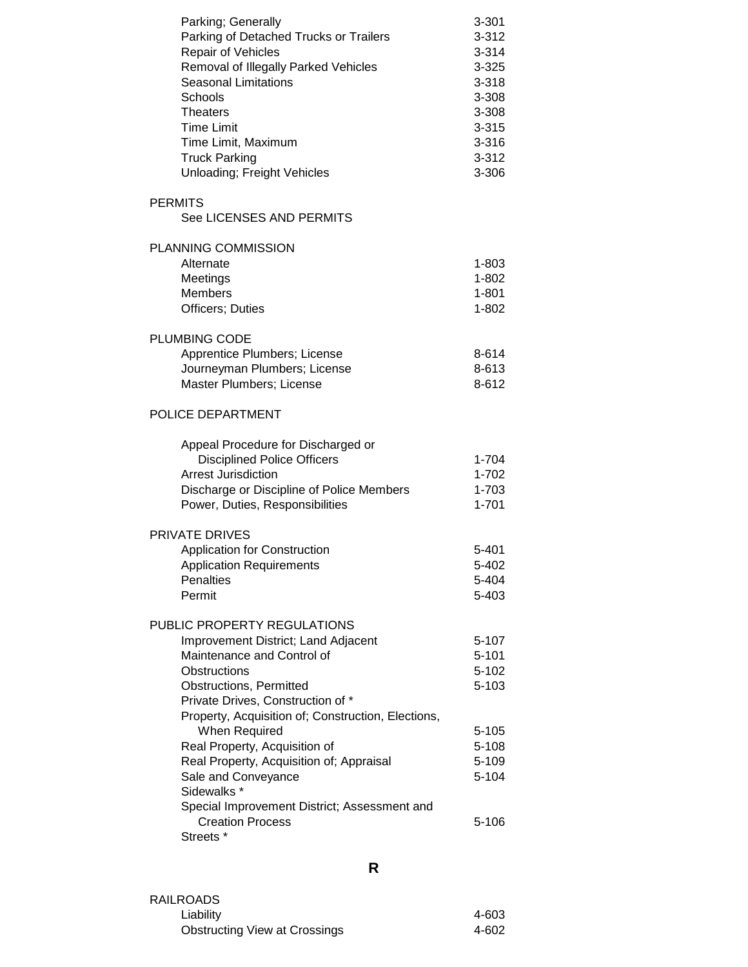| Parking; Generally<br>Parking of Detached Trucks or Trailers<br>Repair of Vehicles<br>Removal of Illegally Parked Vehicles<br><b>Seasonal Limitations</b><br>Schools<br><b>Theaters</b><br><b>Time Limit</b><br>Time Limit, Maximum<br><b>Truck Parking</b><br>Unloading; Freight Vehicles                                                         | $3 - 301$<br>$3 - 312$<br>$3 - 314$<br>$3 - 325$<br>$3 - 318$<br>3-308<br>3-308<br>$3 - 315$<br>3-316<br>$3 - 312$<br>3-306 |
|----------------------------------------------------------------------------------------------------------------------------------------------------------------------------------------------------------------------------------------------------------------------------------------------------------------------------------------------------|-----------------------------------------------------------------------------------------------------------------------------|
| <b>PERMITS</b><br>See LICENSES AND PERMITS                                                                                                                                                                                                                                                                                                         |                                                                                                                             |
| PLANNING COMMISSION<br>Alternate<br>Meetings<br><b>Members</b><br><b>Officers</b> ; Duties                                                                                                                                                                                                                                                         | $1 - 803$<br>1-802<br>$1 - 801$<br>1-802                                                                                    |
| <b>PLUMBING CODE</b><br>Apprentice Plumbers; License<br>Journeyman Plumbers; License<br>Master Plumbers; License                                                                                                                                                                                                                                   | 8-614<br>8-613<br>8-612                                                                                                     |
| POLICE DEPARTMENT                                                                                                                                                                                                                                                                                                                                  |                                                                                                                             |
| Appeal Procedure for Discharged or<br><b>Disciplined Police Officers</b><br>Arrest Jurisdiction<br>Discharge or Discipline of Police Members<br>Power, Duties, Responsibilities                                                                                                                                                                    | 1-704<br>1-702<br>1-703<br>$1 - 701$                                                                                        |
| PRIVATE DRIVES<br><b>Application for Construction</b><br><b>Application Requirements</b><br><b>Penalties</b><br>Permit                                                                                                                                                                                                                             | 5-401<br>5-402<br>5-404<br>5-403                                                                                            |
| PUBLIC PROPERTY REGULATIONS<br>Improvement District; Land Adjacent<br>Maintenance and Control of<br><b>Obstructions</b><br><b>Obstructions, Permitted</b><br>Private Drives, Construction of *<br>Property, Acquisition of; Construction, Elections,<br>When Required<br>Real Property, Acquisition of<br>Real Property, Acquisition of; Appraisal | 5-107<br>$5 - 101$<br>$5 - 102$<br>5-103<br>$5 - 105$<br>$5 - 108$<br>5-109                                                 |
| Sale and Conveyance<br>Sidewalks *<br>Special Improvement District; Assessment and<br><b>Creation Process</b><br>Streets <sup>*</sup>                                                                                                                                                                                                              | 5-104<br>5-106                                                                                                              |

RAILROADS Liability 4-603 Obstructing View at Crossings

### **R**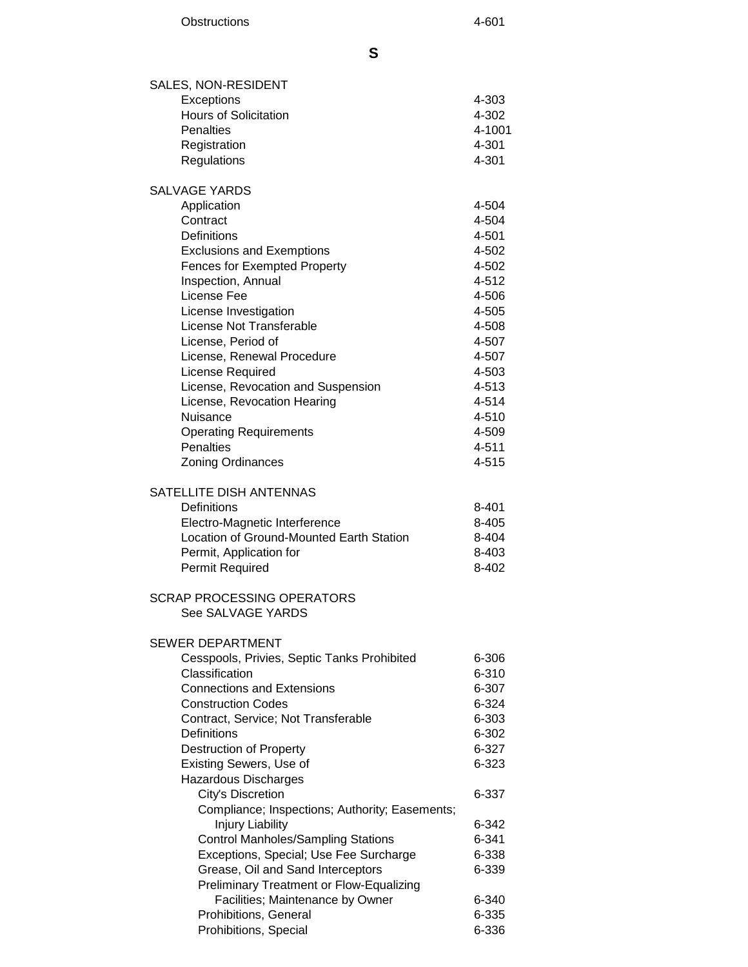| SALES, NON-RESIDENT                                                 |                |
|---------------------------------------------------------------------|----------------|
| Exceptions                                                          | 4-303          |
| <b>Hours of Solicitation</b>                                        | 4-302          |
| <b>Penalties</b>                                                    | 4-1001         |
| Registration                                                        | 4-301          |
| Regulations                                                         | 4-301          |
| <b>SALVAGE YARDS</b>                                                |                |
| Application                                                         | 4-504          |
| Contract                                                            | 4-504          |
| <b>Definitions</b>                                                  | 4-501          |
| <b>Exclusions and Exemptions</b>                                    | 4-502          |
| <b>Fences for Exempted Property</b>                                 | 4-502          |
| Inspection, Annual<br>License Fee                                   | 4-512<br>4-506 |
| License Investigation                                               | 4-505          |
| License Not Transferable                                            | 4-508          |
| License, Period of                                                  | 4-507          |
| License, Renewal Procedure                                          | 4-507          |
| License Required                                                    | 4-503          |
| License, Revocation and Suspension                                  | 4-513          |
| License, Revocation Hearing                                         | 4-514          |
| Nuisance                                                            | 4-510          |
| <b>Operating Requirements</b>                                       | 4-509          |
| Penalties                                                           | 4-511          |
| Zoning Ordinances                                                   | 4-515          |
| SATELLITE DISH ANTENNAS                                             |                |
| Definitions                                                         | 8-401          |
| Electro-Magnetic Interference                                       | 8-405          |
| Location of Ground-Mounted Earth Station                            | 8-404          |
| Permit, Application for                                             | 8-403          |
| Permit Required                                                     | 8-402          |
| <b>SCRAP PROCESSING OPERATORS</b>                                   |                |
| See SALVAGE YARDS                                                   |                |
| SEWER DEPARTMENT                                                    |                |
| Cesspools, Privies, Septic Tanks Prohibited                         | 6-306          |
| Classification                                                      | 6-310          |
| <b>Connections and Extensions</b>                                   | 6-307          |
| <b>Construction Codes</b>                                           | 6-324          |
| Contract, Service; Not Transferable                                 | 6-303          |
| Definitions                                                         | 6-302          |
| <b>Destruction of Property</b>                                      | 6-327          |
| Existing Sewers, Use of                                             | 6-323          |
| Hazardous Discharges                                                | 6-337          |
| City's Discretion<br>Compliance; Inspections; Authority; Easements; |                |
| <b>Injury Liability</b>                                             | 6-342          |
| <b>Control Manholes/Sampling Stations</b>                           | $6 - 341$      |
| Exceptions, Special; Use Fee Surcharge                              | 6-338          |
| Grease, Oil and Sand Interceptors                                   | 6-339          |
| <b>Preliminary Treatment or Flow-Equalizing</b>                     |                |
| Facilities; Maintenance by Owner                                    | 6-340          |
| Prohibitions, General                                               | 6-335          |
| Prohibitions, Special                                               | 6-336          |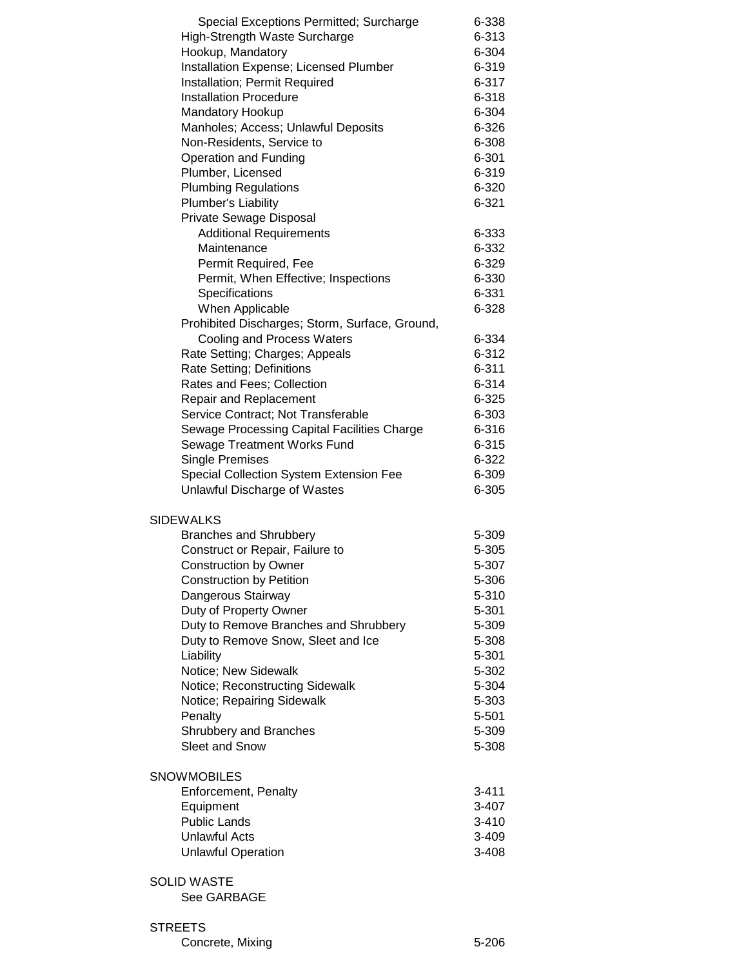| Special Exceptions Permitted; Surcharge        | 6-338     |
|------------------------------------------------|-----------|
| High-Strength Waste Surcharge                  | 6-313     |
| Hookup, Mandatory                              | 6-304     |
| Installation Expense; Licensed Plumber         | 6-319     |
| Installation; Permit Required                  | 6-317     |
| <b>Installation Procedure</b>                  | 6-318     |
| Mandatory Hookup                               | 6-304     |
| Manholes; Access; Unlawful Deposits            | 6-326     |
| Non-Residents, Service to                      | 6-308     |
| Operation and Funding                          | 6-301     |
| Plumber, Licensed                              | 6-319     |
| <b>Plumbing Regulations</b>                    | 6-320     |
| Plumber's Liability                            | $6 - 321$ |
| Private Sewage Disposal                        |           |
| <b>Additional Requirements</b>                 | 6-333     |
| Maintenance                                    | 6-332     |
| Permit Required, Fee                           | 6-329     |
| Permit, When Effective; Inspections            | 6-330     |
| Specifications                                 | 6-331     |
| When Applicable                                | 6-328     |
| Prohibited Discharges; Storm, Surface, Ground, |           |
|                                                |           |
| Cooling and Process Waters                     | 6-334     |
| Rate Setting; Charges; Appeals                 | 6-312     |
| Rate Setting; Definitions                      | $6 - 311$ |
| Rates and Fees; Collection                     | 6-314     |
| <b>Repair and Replacement</b>                  | 6-325     |
| Service Contract; Not Transferable             | 6-303     |
| Sewage Processing Capital Facilities Charge    | 6-316     |
| Sewage Treatment Works Fund                    | $6 - 315$ |
| <b>Single Premises</b>                         | 6-322     |
| Special Collection System Extension Fee        | 6-309     |
| Unlawful Discharge of Wastes                   | 6-305     |
| <b>SIDEWALKS</b>                               |           |
| <b>Branches and Shrubbery</b>                  | 5-309     |
| Construct or Repair, Failure to                | 5-305     |
|                                                | 5-307     |
| <b>Construction by Owner</b>                   | 5-306     |
| <b>Construction by Petition</b>                |           |
| Dangerous Stairway                             | 5-310     |
| Duty of Property Owner                         | 5-301     |
| Duty to Remove Branches and Shrubbery          | 5-309     |
| Duty to Remove Snow, Sleet and Ice             | 5-308     |
| Liability                                      | 5-301     |
| Notice; New Sidewalk                           | 5-302     |
| Notice; Reconstructing Sidewalk                | 5-304     |
| Notice; Repairing Sidewalk                     | 5-303     |
| Penalty                                        | 5-501     |
| Shrubbery and Branches                         | 5-309     |
| <b>Sleet and Snow</b>                          | 5-308     |
| <b>SNOWMOBILES</b>                             |           |
| Enforcement, Penalty                           | 3-411     |
| Equipment                                      | $3 - 407$ |
| <b>Public Lands</b>                            | $3 - 410$ |
| <b>Unlawful Acts</b>                           | 3-409     |
| <b>Unlawful Operation</b>                      | 3-408     |
|                                                |           |
| <b>SOLID WASTE</b>                             |           |
| See GARBAGE                                    |           |
|                                                |           |
| <b>STREETS</b>                                 |           |

Concrete, Mixing 5-206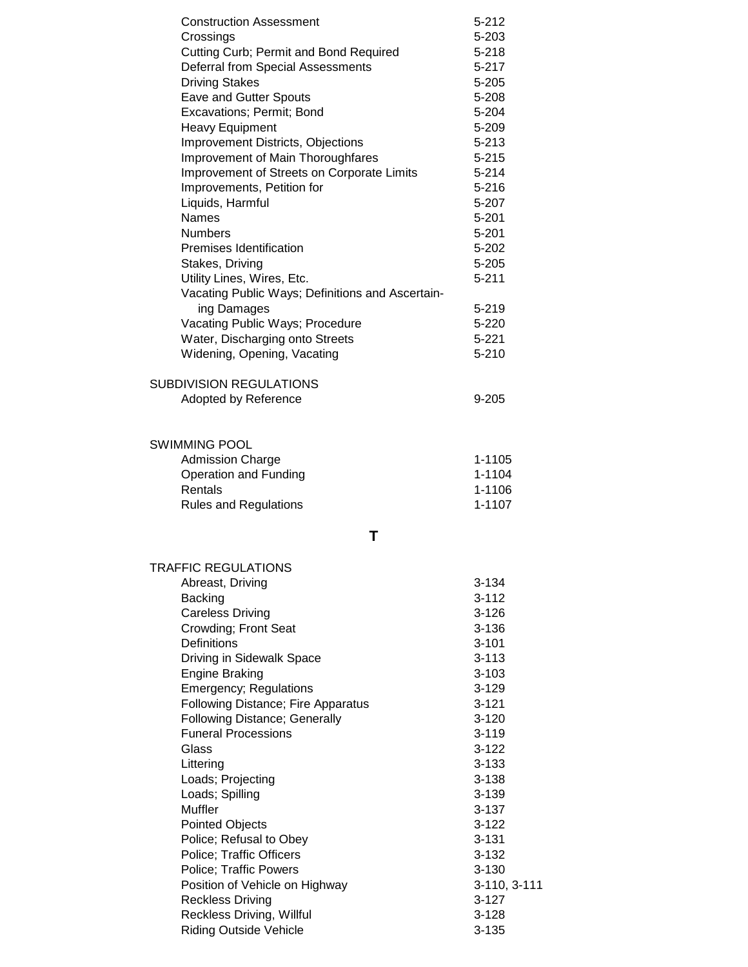| <b>Construction Assessment</b>                                     | $5 - 212$              |
|--------------------------------------------------------------------|------------------------|
| Crossings                                                          | 5-203                  |
| Cutting Curb; Permit and Bond Required                             | $5 - 218$              |
| Deferral from Special Assessments                                  | $5 - 217$              |
| <b>Driving Stakes</b>                                              | $5 - 205$              |
| <b>Eave and Gutter Spouts</b>                                      | 5-208                  |
| Excavations; Permit; Bond                                          | 5-204                  |
| <b>Heavy Equipment</b><br>Improvement Districts, Objections        | 5-209<br>$5 - 213$     |
| Improvement of Main Thoroughfares                                  | $5 - 215$              |
| Improvement of Streets on Corporate Limits                         | $5 - 214$              |
| Improvements, Petition for                                         | $5 - 216$              |
| Liquids, Harmful                                                   | 5-207                  |
| <b>Names</b>                                                       | $5 - 201$              |
| <b>Numbers</b>                                                     | $5 - 201$              |
| Premises Identification                                            | $5 - 202$              |
| Stakes, Driving                                                    | $5 - 205$              |
| Utility Lines, Wires, Etc.                                         | $5 - 211$              |
| Vacating Public Ways; Definitions and Ascertain-                   |                        |
| ing Damages                                                        | $5 - 219$              |
| Vacating Public Ways; Procedure                                    | 5-220                  |
| Water, Discharging onto Streets                                    | $5 - 221$              |
| Widening, Opening, Vacating                                        | $5 - 210$              |
| <b>SUBDIVISION REGULATIONS</b>                                     |                        |
| Adopted by Reference                                               | 9-205                  |
|                                                                    |                        |
|                                                                    |                        |
| <b>SWIMMING POOL</b>                                               |                        |
| <b>Admission Charge</b>                                            | 1-1105                 |
| Operation and Funding                                              | 1-1104                 |
| Rentals                                                            | 1-1106                 |
| <b>Rules and Regulations</b>                                       | 1-1107                 |
| Т                                                                  |                        |
| <b>TRAFFIC REGULATIONS</b>                                         |                        |
| Abreast, Driving                                                   | $3 - 134$              |
| <b>Backing</b>                                                     | $3 - 112$              |
| <b>Careless Driving</b>                                            | $3 - 126$              |
| Crowding; Front Seat                                               | $3 - 136$              |
| Definitions                                                        | $3 - 101$              |
| Driving in Sidewalk Space                                          | $3 - 113$              |
| <b>Engine Braking</b>                                              | $3 - 103$              |
| <b>Emergency; Regulations</b>                                      | $3 - 129$              |
| <b>Following Distance; Fire Apparatus</b>                          | $3 - 121$              |
| <b>Following Distance; Generally</b><br><b>Funeral Processions</b> | $3 - 120$<br>$3 - 119$ |
| Glass                                                              | $3 - 122$              |
| Littering                                                          | $3 - 133$              |
| Loads; Projecting                                                  | $3 - 138$              |
| Loads; Spilling                                                    | $3 - 139$              |
| Muffler                                                            | $3 - 137$              |
| <b>Pointed Objects</b>                                             | $3 - 122$              |
| Police; Refusal to Obey                                            | $3 - 131$              |
| Police; Traffic Officers                                           | $3 - 132$              |
| <b>Police; Traffic Powers</b>                                      | $3 - 130$              |
| Position of Vehicle on Highway                                     | 3-110, 3-111           |
| <b>Reckless Driving</b>                                            | $3 - 127$              |
| Reckless Driving, Willful                                          | $3 - 128$              |
| <b>Riding Outside Vehicle</b>                                      | $3 - 135$              |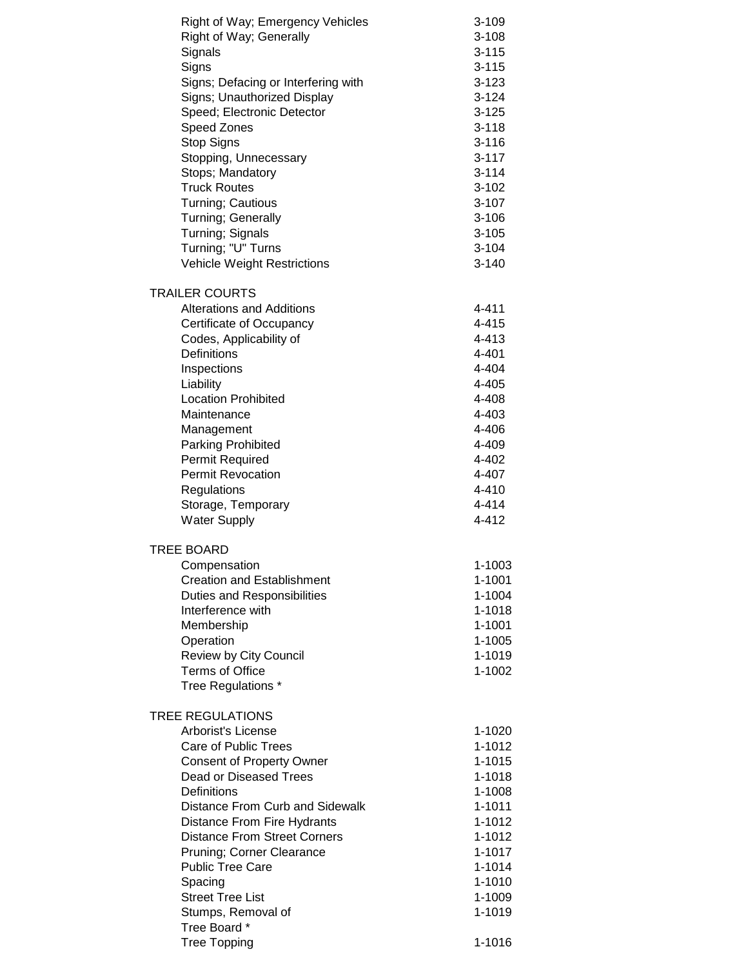| Right of Way; Emergency Vehicles          | $3 - 109$        |
|-------------------------------------------|------------------|
| Right of Way; Generally                   | $3 - 108$        |
| Signals                                   | $3 - 115$        |
| Signs                                     | $3 - 115$        |
| Signs; Defacing or Interfering with       | 3-123            |
|                                           | $3 - 124$        |
| Signs; Unauthorized Display               |                  |
| Speed; Electronic Detector                | $3 - 125$        |
| Speed Zones                               | $3 - 118$        |
| Stop Signs                                | $3 - 116$        |
| Stopping, Unnecessary                     | $3 - 117$        |
| Stops; Mandatory                          | $3 - 114$        |
| <b>Truck Routes</b>                       | $3 - 102$        |
| Turning; Cautious                         | $3 - 107$        |
| Turning; Generally                        | $3 - 106$        |
| Turning; Signals                          | $3 - 105$        |
| Turning; "U" Turns                        | $3 - 104$        |
| <b>Vehicle Weight Restrictions</b>        | $3 - 140$        |
| <b>TRAILER COURTS</b>                     |                  |
| <b>Alterations and Additions</b>          | 4-411            |
| Certificate of Occupancy                  | 4-415            |
| Codes, Applicability of                   | 4-413            |
| Definitions                               | 4-401            |
| Inspections                               | 4-404            |
| Liability                                 | 4-405            |
| <b>Location Prohibited</b>                | 4-408            |
| Maintenance                               | 4-403            |
| Management                                | 4-406            |
| Parking Prohibited                        | 4-409            |
| <b>Permit Required</b>                    | 4-402            |
| <b>Permit Revocation</b>                  | 4-407            |
|                                           | 4-410            |
| Regulations                               | 4-414            |
| Storage, Temporary<br><b>Water Supply</b> | 4-412            |
|                                           |                  |
| TREE BOARD                                |                  |
| Compensation                              | 1-1003           |
| <b>Creation and Establishment</b>         | 1-1001           |
| <b>Duties and Responsibilities</b>        | 1-1004           |
| Interference with                         | 1-1018           |
| Membership                                | 1-1001           |
| Operation                                 | 1-1005           |
| Review by City Council                    | 1-1019           |
| <b>Terms of Office</b>                    | 1-1002           |
| Tree Regulations *                        |                  |
| <b>TREE REGULATIONS</b>                   |                  |
| <b>Arborist's License</b>                 |                  |
| Care of Public Trees                      | 1-1020<br>1-1012 |
|                                           |                  |
| <b>Consent of Property Owner</b>          | 1-1015           |
| Dead or Diseased Trees                    | 1-1018           |
| Definitions                               | 1-1008           |
| Distance From Curb and Sidewalk           | $1 - 1011$       |
| Distance From Fire Hydrants               | 1-1012           |
| <b>Distance From Street Corners</b>       | 1-1012           |
| Pruning; Corner Clearance                 | 1-1017           |
| <b>Public Tree Care</b>                   | 1-1014           |
| Spacing                                   | $1 - 1010$       |
| <b>Street Tree List</b>                   | 1-1009           |
| Stumps, Removal of                        | 1-1019           |
| Tree Board *                              |                  |
| <b>Tree Topping</b>                       | 1-1016           |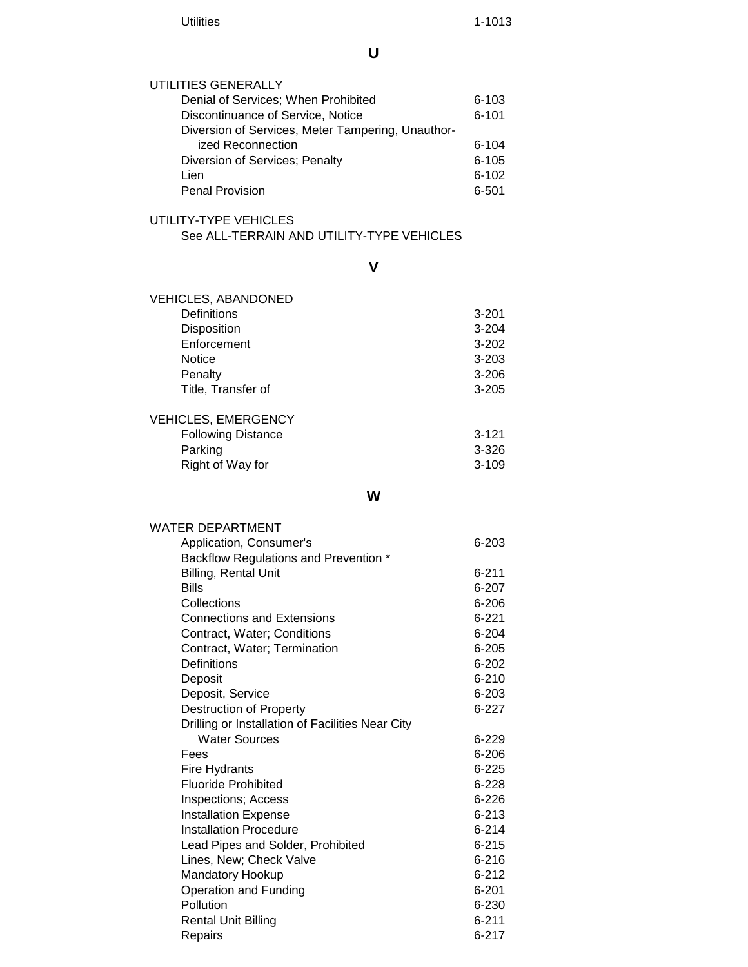**U**

| UTILITIES GENERALLY                               |           |
|---------------------------------------------------|-----------|
| Denial of Services; When Prohibited               | 6-103     |
| Discontinuance of Service, Notice                 | $6 - 101$ |
| Diversion of Services, Meter Tampering, Unauthor- |           |
| ized Reconnection                                 | $6 - 104$ |
| Diversion of Services; Penalty                    | $6 - 105$ |
| Lien                                              | $6 - 102$ |
| <b>Penal Provision</b>                            | 6-501     |
|                                                   |           |

#### UTILITY-TYPE VEHICLES See ALL-TERRAIN AND UTILITY-TYPE VEHICLES

**V**

| <b>VEHICLES, ABANDONED</b> |           |
|----------------------------|-----------|
| Definitions                | $3 - 201$ |
| <b>Disposition</b>         | $3 - 204$ |
| Enforcement                | $3 - 202$ |
| <b>Notice</b>              | $3 - 203$ |
| Penalty                    | $3 - 206$ |
| Title, Transfer of         | $3 - 205$ |
| <b>VEHICLES, EMERGENCY</b> |           |
| <b>Following Distance</b>  | $3 - 121$ |
| Parking                    | $3 - 326$ |
| Right of Way for           | $3-109$   |

### **W**

| <b>WATER DEPARTMENT</b>                          |           |
|--------------------------------------------------|-----------|
| Application, Consumer's                          | $6 - 203$ |
| Backflow Regulations and Prevention *            |           |
| <b>Billing, Rental Unit</b>                      | $6 - 211$ |
| <b>Bills</b>                                     | $6 - 207$ |
| Collections                                      | 6-206     |
| <b>Connections and Extensions</b>                | $6 - 221$ |
| Contract, Water; Conditions                      | $6 - 204$ |
| Contract, Water; Termination                     | $6 - 205$ |
| Definitions                                      | $6 - 202$ |
| Deposit                                          | $6 - 210$ |
| Deposit, Service                                 | $6 - 203$ |
| <b>Destruction of Property</b>                   | $6 - 227$ |
| Drilling or Installation of Facilities Near City |           |
| <b>Water Sources</b>                             | 6-229     |
| Fees                                             | $6 - 206$ |
| Fire Hydrants                                    | $6 - 225$ |
| <b>Fluoride Prohibited</b>                       | $6 - 228$ |
| <b>Inspections; Access</b>                       | $6 - 226$ |
| <b>Installation Expense</b>                      | $6 - 213$ |
| <b>Installation Procedure</b>                    | $6 - 214$ |
| Lead Pipes and Solder, Prohibited                | $6 - 215$ |
| Lines, New; Check Valve                          | $6 - 216$ |
| Mandatory Hookup                                 | $6 - 212$ |
| Operation and Funding                            | $6 - 201$ |
| Pollution                                        | 6-230     |
| <b>Rental Unit Billing</b>                       | $6 - 211$ |
| Repairs                                          | $6 - 217$ |